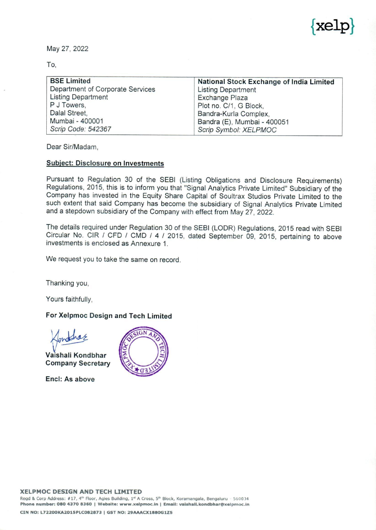

|                                                                                                                                                              | $\sim$<br>kel                                                                                                                                                                                      |
|--------------------------------------------------------------------------------------------------------------------------------------------------------------|----------------------------------------------------------------------------------------------------------------------------------------------------------------------------------------------------|
| May 27, 2022<br>$\sim 10^{\circ}$<br>To,                                                                                                                     |                                                                                                                                                                                                    |
| <b>BSE Limited</b><br>Department of Corporate Services<br><b>Listing Department</b><br>P J Towers,<br>Dalal Street,<br>Mumbai - 400001<br>Scrip Code: 542367 | National Stock Exchange of India Limited<br><b>Listing Department</b><br>Exchange Plaza<br>Plot no. C/1, G Block,<br>Bandra-Kurla Complex,<br>Bandra (E), Mumbai - 400051<br>Scrip Symbol: XELPMOC |

Dear Sir/Madam,

## Subject: Disclosure on Investments

Pursuant to Regulation 30 of the SEBI (Listing Obligations and Disclosure Requirements)<br>Regulations, 2015, this is to inform you that "Signal Analytics Private Limited" Subsidiary of the<br>Company has invested in the Equity

The details required under Regulation 30 of the SEBI (LODR) Regulations, 2015 read with SEBI Circular No. CIR / CFD / CMD / 4 / 2015, dated September 09, 2015, pertaining to above investments is enclosed as Annexure 1.

We request you to take the same on record.

Thanking you,

Yours faithfully,

## For Xelpmoc Design and Tech Limited

 $\sim$ fontha

Vaishali Kondbhar Company Secretary

Encl: As above

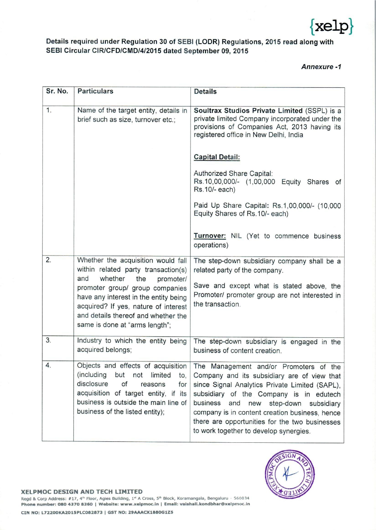

## Details required under Regulation 30 of SEBI (LODR) Regulations, 2015 read along with SEBI Circular CIR/CFD/CMD/4/2015 dated September 09, 2015 Details required under Regulation 30 of SEBI<br>SEBI Circular CIR/CFD/CMD/4/2015 dated Sep

| kelp<br>Details required under Regulation 30 of SEBI (LODR) Regulations, 2015 read along with<br>SEBI Circular CIR/CFD/CMD/4/2015 dated September 09, 2015<br><b>Annexure-1</b> |                                                                                                                                                                                                                                                                                                              |                                                                                                                                                                                                                                                                                                                                                                                 |  |  |
|---------------------------------------------------------------------------------------------------------------------------------------------------------------------------------|--------------------------------------------------------------------------------------------------------------------------------------------------------------------------------------------------------------------------------------------------------------------------------------------------------------|---------------------------------------------------------------------------------------------------------------------------------------------------------------------------------------------------------------------------------------------------------------------------------------------------------------------------------------------------------------------------------|--|--|
| Sr. No.                                                                                                                                                                         | <b>Particulars</b>                                                                                                                                                                                                                                                                                           | <b>Details</b>                                                                                                                                                                                                                                                                                                                                                                  |  |  |
| 1.                                                                                                                                                                              | Name of the target entity, details in<br>brief such as size, turnover etc.;                                                                                                                                                                                                                                  | Soultrax Studios Private Limited (SSPL) is a<br>private limited Company incorporated under the<br>provisions of Companies Act, 2013 having its<br>registered office in New Delhi, India<br><b>Capital Detail:</b><br>Authorized Share Capital:                                                                                                                                  |  |  |
|                                                                                                                                                                                 |                                                                                                                                                                                                                                                                                                              | Rs.10,00,000/- (1,00,000 Equity Shares of<br>Rs. 10/- each)<br>Paid Up Share Capital: Rs.1,00,000/- (10,000<br>Equity Shares of Rs.10/- each)                                                                                                                                                                                                                                   |  |  |
|                                                                                                                                                                                 |                                                                                                                                                                                                                                                                                                              | Turnover: NIL (Yet to commence business<br>operations)                                                                                                                                                                                                                                                                                                                          |  |  |
| 2.                                                                                                                                                                              | Whether the acquisition would fall<br>within related party transaction(s)<br>and<br>whether<br>the<br>promoter/<br>promoter group/ group companies<br>have any interest in the entity being<br>acquired? If yes, nature of interest<br>and details thereof and whether the<br>same is done at "arms length"; | The step-down subsidiary company shall be a<br>related party of the company.<br>Save and except what is stated above, the<br>Promoter/ promoter group are not interested in<br>the transaction.                                                                                                                                                                                 |  |  |
| 3.                                                                                                                                                                              | Industry to which the entity being<br>acquired belongs;                                                                                                                                                                                                                                                      | The step-down subsidiary is engaged in the<br>business of content creation.                                                                                                                                                                                                                                                                                                     |  |  |
| 4.                                                                                                                                                                              | Objects and effects of acquisition<br>(including but not limited to,<br>disclosure<br>of<br>reasons<br>for<br>acquisition of target entity, if its<br>business is outside the main line of<br>business of the listed entity);                                                                                | The Management and/or Promoters of the<br>Company and its subsidiary are of view that<br>since Signal Analytics Private Limited (SAPL),<br>subsidiary of the Company is in edutech<br>business<br>and<br>new step-down subsidiary<br>company is in content creation business, hence<br>there are opportunities for the two businesses<br>to work together to develop synergies. |  |  |